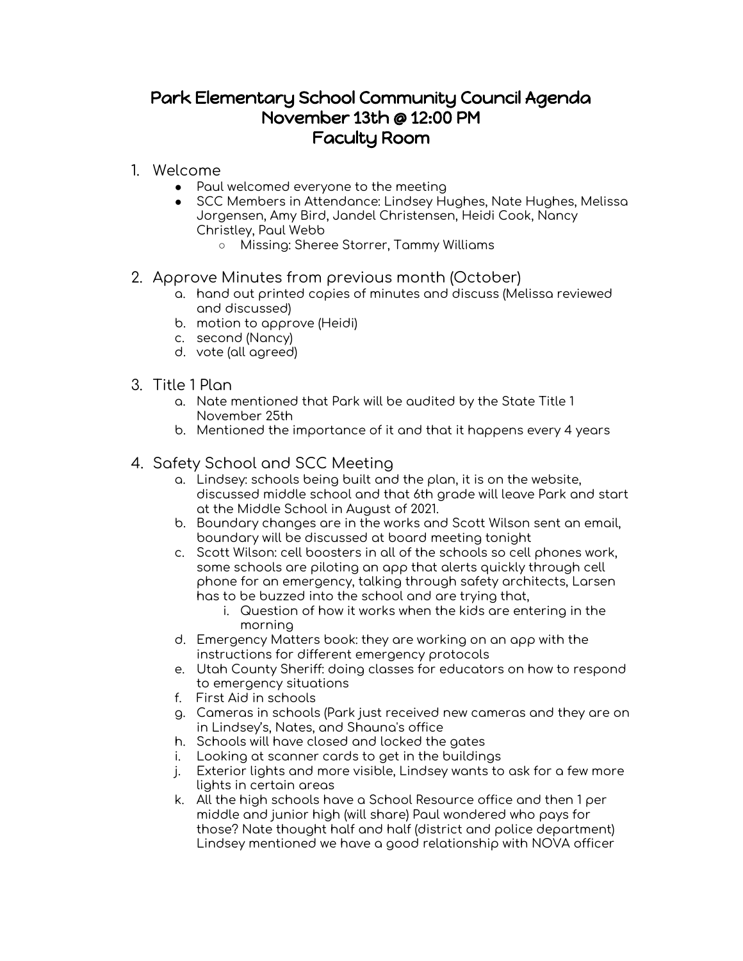## Park Elementary School Community Council Agenda November 13th @ 12:00 PM Faculty Room

- 1. Welcome
	- Paul welcomed everyone to the meeting
	- SCC Members in Attendance: Lindsey Hughes, Nate Hughes, Melissa Jorgensen, Amy Bird, Jandel Christensen, Heidi Cook, Nancy Christley, Paul Webb
		- Missing: Sheree Storrer, Tammy Williams

## 2. Approve Minutes from previous month (October)

- a. hand out printed copies of minutes and discuss (Melissa reviewed and discussed)
- b. motion to approve (Heidi)
- c. second (Nancy)
- d. vote (all agreed)
- 3. Title 1 Plan
	- a. Nate mentioned that Park will be audited by the State Title 1 November 25th
	- b. Mentioned the importance of it and that it happens every 4 years

## 4. Safety School and SCC Meeting

- a. Lindsey: schools being built and the plan, it is on the website, discussed middle school and that 6th grade will leave Park and start at the Middle School in August of 2021.
- b. Boundary changes are in the works and Scott Wilson sent an email, boundary will be discussed at board meeting tonight
- c. Scott Wilson: cell boosters in all of the schools so cell phones work, some schools are piloting an app that alerts quickly through cell phone for an emergency, talking through safety architects, Larsen has to be buzzed into the school and are trying that,
	- i. Question of how it works when the kids are entering in the morning
- d. Emergency Matters book: they are working on an app with the instructions for different emergency protocols
- e. Utah County Sheriff: doing classes for educators on how to respond to emergency situations
- f. First Aid in schools
- g. Cameras in schools (Park just received new cameras and they are on in Lindsey's, Nates, and Shauna's office
- h. Schools will have closed and locked the gates
- i. Looking at scanner cards to get in the buildings
- j. Exterior lights and more visible, Lindsey wants to ask for a few more lights in certain areas
- k. All the high schools have a School Resource office and then 1 per middle and junior high (will share) Paul wondered who pays for those? Nate thought half and half (district and police department) Lindsey mentioned we have a good relationship with NOVA officer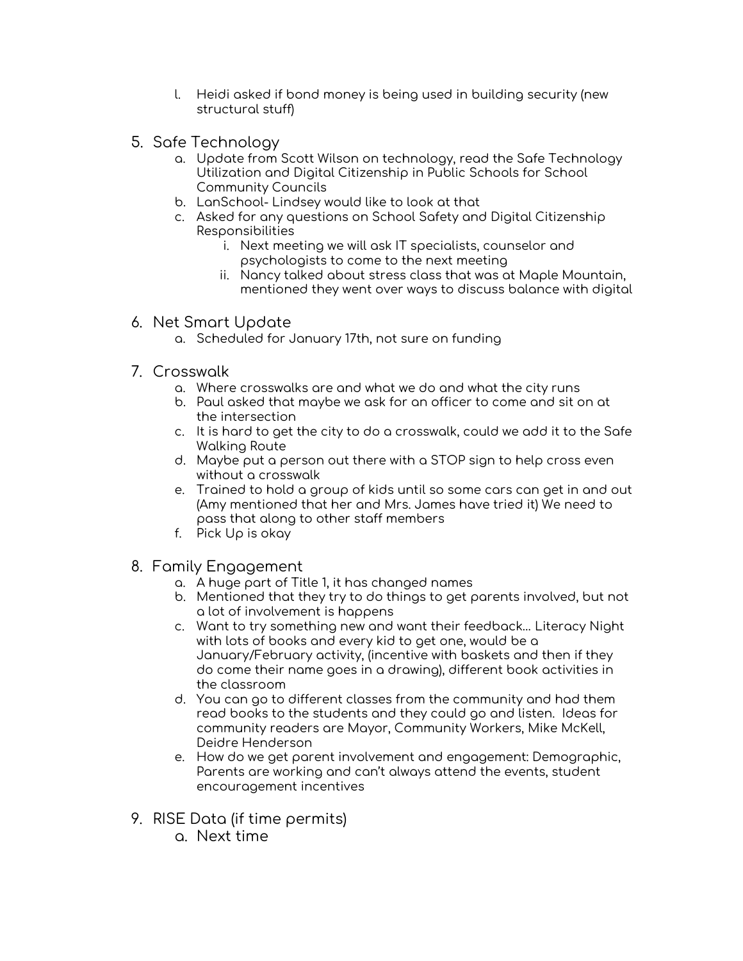- l. Heidi asked if bond money is being used in building security (new structural stuff)
- 5. Safe Technology
	- a. Update from Scott Wilson on technology, read the Safe Technology Utilization and Digital Citizenship in Public Schools for School Community Councils
	- b. LanSchool- Lindsey would like to look at that
	- c. Asked for any questions on School Safety and Digital Citizenship Responsibilities
		- i. Next meeting we will ask IT specialists, counselor and psychologists to come to the next meeting
		- ii. Nancy talked about stress class that was at Maple Mountain, mentioned they went over ways to discuss balance with digital
- 6. Net Smart Update
	- a. Scheduled for January 17th, not sure on funding
- 7. Crosswalk
	- a. Where crosswalks are and what we do and what the city runs
	- b. Paul asked that maybe we ask for an officer to come and sit on at the intersection
	- c. It is hard to get the city to do a crosswalk, could we add it to the Safe Walking Route
	- d. Maybe put a person out there with a STOP sign to help cross even without a crosswalk
	- e. Trained to hold a group of kids until so some cars can get in and out (Amy mentioned that her and Mrs. James have tried it) We need to pass that along to other staff members
	- f. Pick Up is okay
- 8. Family Engagement
	- a. A huge part of Title 1, it has changed names
	- b. Mentioned that they try to do things to get parents involved, but not a lot of involvement is happens
	- c. Want to try something new and want their feedback… Literacy Night with lots of books and every kid to get one, would be a January/February activity, (incentive with baskets and then if they do come their name goes in a drawing), different book activities in the classroom
	- d. You can go to different classes from the community and had them read books to the students and they could go and listen. Ideas for community readers are Mayor, Community Workers, Mike McKell, Deidre Henderson
	- e. How do we get parent involvement and engagement: Demographic, Parents are working and can't always attend the events, student encouragement incentives
- 9. RISE Data (if time permits)
	- a. Next time